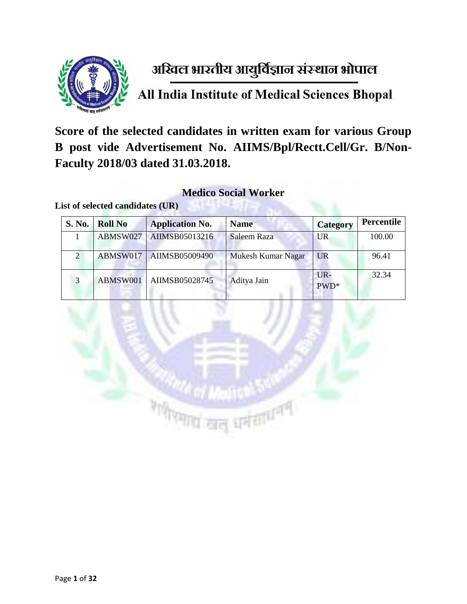

# अखिल भारतीय आयुर्विज्ञान संस्थान भोपाल

All India Institute of Medical Sciences Bhopal

**Score of the selected candidates in written exam for various Group B post vide Advertisement No. AIIMS/Bpl/Rectt.Cell/Gr. B/Non-Faculty 2018/03 dated 31.03.2018.** 

#### **Medico Social Worker**

| <b>S. No.</b> | Roll No  | <b>Application No.</b>    | <b>Name</b>        | <b>Category</b> | Percentile |
|---------------|----------|---------------------------|--------------------|-----------------|------------|
|               | ABMSW027 | AIIMSB05013216            | Saleem Raza        | UR              | 100.00     |
|               |          | ABMSW017   AIIMSB05009490 | Mukesh Kumar Nagar | <b>UR</b>       | 96.41      |
| $\mathcal{R}$ | ABMSW001 | AIIMSB05028745            | Aditya Jain        | $UR -$<br>PWD*  | 32.34      |

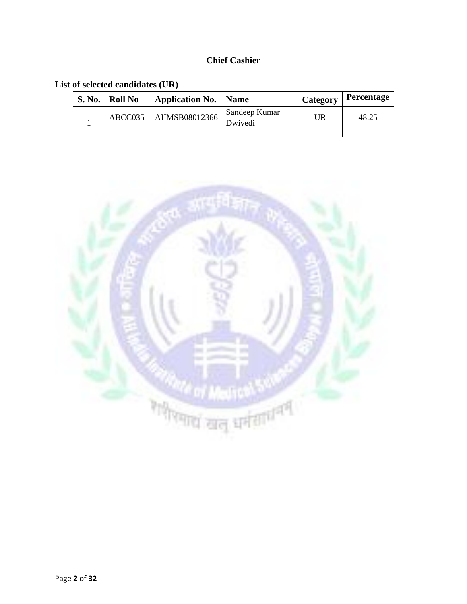#### **Chief Cashier**

| <b>S. No.</b> | Roll No | <b>Application No.   Name</b> |                          | Category | Percentage |
|---------------|---------|-------------------------------|--------------------------|----------|------------|
|               | ABCC035 | AIIMSB08012366                | Sandeep Kumar<br>Dwivedi | UR       | 48.25      |

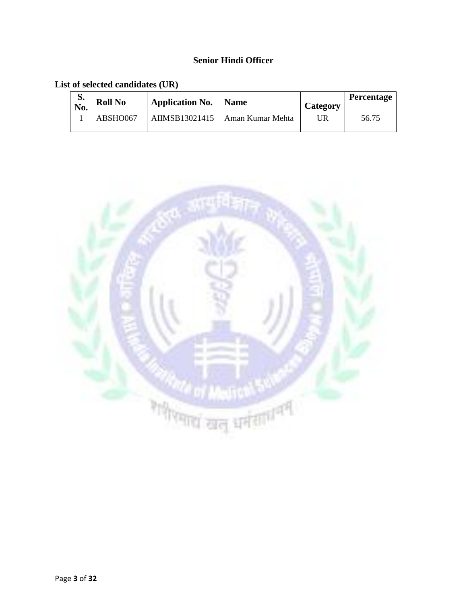#### **Senior Hindi Officer**

| d.<br>No. | <b>Roll No</b> | <b>Application No.</b> | <b>Name</b>                       | <b>Category</b> | <b>Percentage</b> |
|-----------|----------------|------------------------|-----------------------------------|-----------------|-------------------|
|           | ABSHO067       |                        | AIIMSB13021415   Aman Kumar Mehta | UR              | 56.75             |

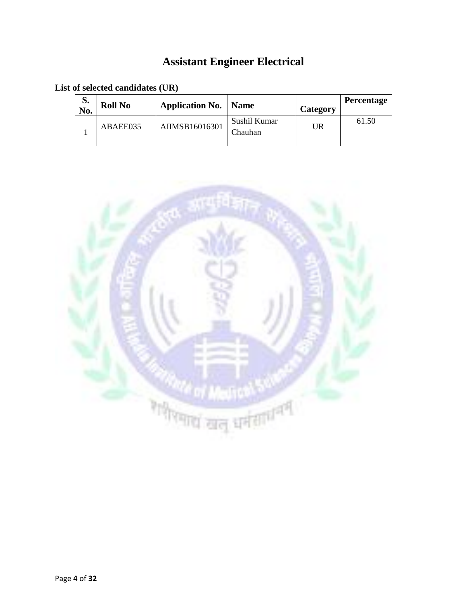# **Assistant Engineer Electrical**

| S.<br>No. | <b>Roll No</b> | <b>Application No.</b> | <b>Name</b>             | Category | <b>Percentage</b> |
|-----------|----------------|------------------------|-------------------------|----------|-------------------|
|           | ABAEE035       | AIIMSB16016301         | Sushil Kumar<br>Chauhan | UR       | 61.50             |

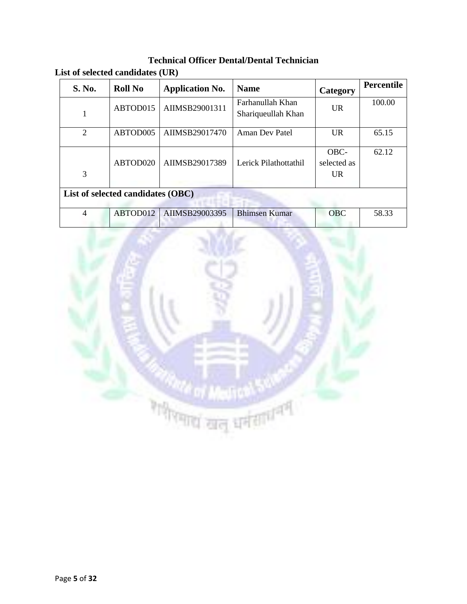**Technical Officer Dental/Dental Technician List of selected candidates (UR)**

| <b>S. No.</b>                     | <b>Roll No</b> | <b>Application No.</b> | <b>Name</b>                            | Category                   | <b>Percentile</b> |  |
|-----------------------------------|----------------|------------------------|----------------------------------------|----------------------------|-------------------|--|
|                                   | ABTOD015       | AIIMSB29001311         | Farhanullah Khan<br>Shariqueullah Khan | <b>UR</b>                  | 100.00            |  |
| 2                                 | ABTOD005       | AIIMSB29017470         | Aman Dev Patel                         | UR.                        | 65.15             |  |
| 3                                 | ABTOD020       | AIIMSB29017389         | Lerick Pilathottathil                  | OBC-<br>selected as<br>UR. | 62.12             |  |
| List of selected candidates (OBC) |                |                        |                                        |                            |                   |  |
| $\overline{4}$                    | ABTOD012       | AIIMSB29003395         | <b>Bhimsen Kumar</b>                   | <b>OBC</b>                 | 58.33             |  |

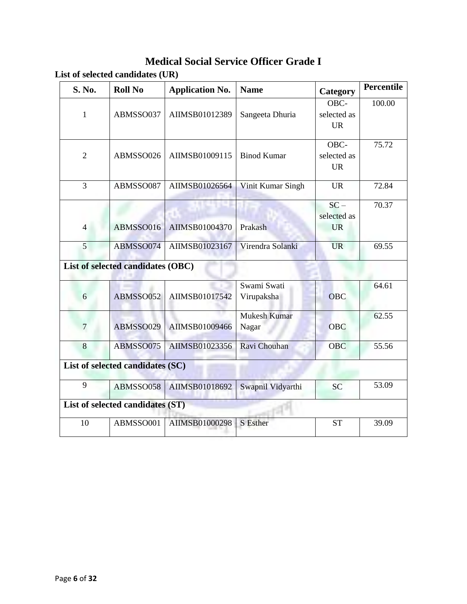### **Medical Social Service Officer Grade I**

| S. No.         | <b>Roll No</b>                    | <b>Application No.</b> | <b>Name</b>         | Category    | Percentile |
|----------------|-----------------------------------|------------------------|---------------------|-------------|------------|
|                |                                   |                        |                     | OBC-        | 100.00     |
| $\mathbf{1}$   | ABMSSO037                         | AIIMSB01012389         | Sangeeta Dhuria     | selected as |            |
|                |                                   |                        |                     | <b>UR</b>   |            |
|                |                                   |                        |                     | OBC-        | 75.72      |
| $\overline{2}$ | ABMSSO026                         | AIIMSB01009115         | <b>Binod Kumar</b>  | selected as |            |
|                |                                   |                        |                     | <b>UR</b>   |            |
| $\overline{3}$ | ABMSSO087                         | AIIMSB01026564         | Vinit Kumar Singh   | <b>UR</b>   | 72.84      |
|                |                                   |                        |                     | $SC -$      | 70.37      |
|                |                                   |                        |                     | selected as |            |
| $\overline{4}$ | ABMSSO016                         | AIIMSB01004370         | Prakash             | <b>UR</b>   |            |
|                |                                   |                        |                     |             |            |
| 5              | ABMSSO074                         | AIIMSB01023167         | Virendra Solanki    | <b>UR</b>   | 69.55      |
|                | List of selected candidates (OBC) |                        |                     |             |            |
|                |                                   |                        | Swami Swati         |             | 64.61      |
| 6              | ABMSSO052                         | AIIMSB01017542         | Virupaksha          | <b>OBC</b>  |            |
|                |                                   |                        | <b>Mukesh Kumar</b> |             | 62.55      |
| 7              | ABMSSO029                         | AIIMSB01009466         | Nagar               | <b>OBC</b>  |            |
| 8              | ABMSSO075                         | AIIMSB01023356         | Ravi Chouhan        | <b>OBC</b>  | 55.56      |
|                | List of selected candidates (SC)  |                        |                     |             |            |
| 9              | ABMSSO058                         | AIIMSB01018692         | Swapnil Vidyarthi   | <b>SC</b>   | 53.09      |
|                | List of selected candidates (ST)  |                        |                     |             |            |
| 10             | ABMSSO001                         | AIIMSB01000298         | S Esther            | <b>ST</b>   | 39.09      |
|                |                                   |                        |                     |             |            |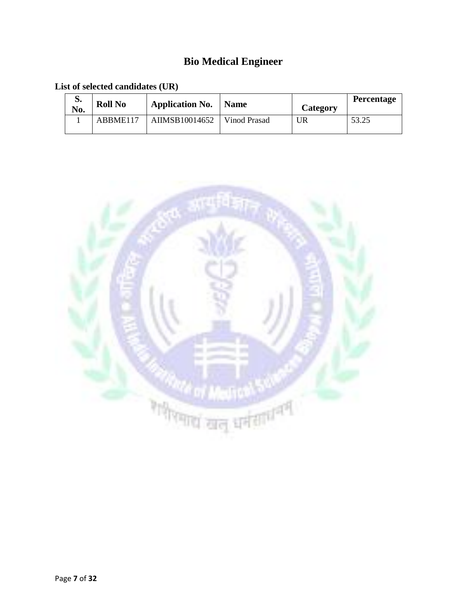# **Bio Medical Engineer**

| d.<br>No. | <b>Roll No</b> | <b>Application No.</b>   Name |              | Category | <b>Percentage</b> |
|-----------|----------------|-------------------------------|--------------|----------|-------------------|
|           | ABBME117       | AIIMSB10014652                | Vinod Prasad | UR       | 53.25             |

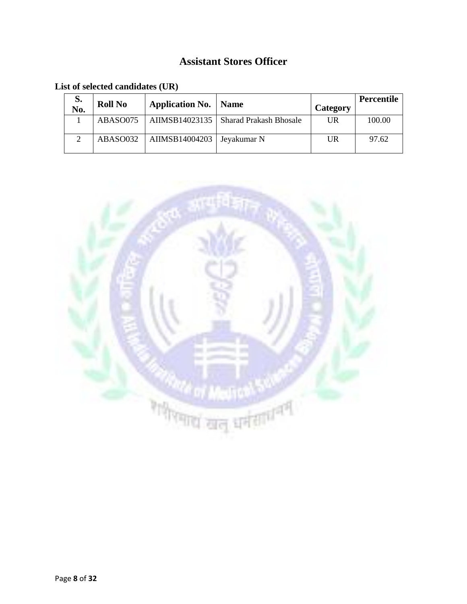### **Assistant Stores Officer**

**List of selected candidates (UR)**

| S.<br>No. | <b>Roll No</b> | <b>Application No.</b> | <b>Name</b>                             | Category | Percentile |
|-----------|----------------|------------------------|-----------------------------------------|----------|------------|
|           | ABASO075       |                        | AIIMSB14023135   Sharad Prakash Bhosale | UR       | 100.00     |
|           | ABASO032       | AIIMSB14004203         | Jeyakumar N                             | UR       | 97.62      |

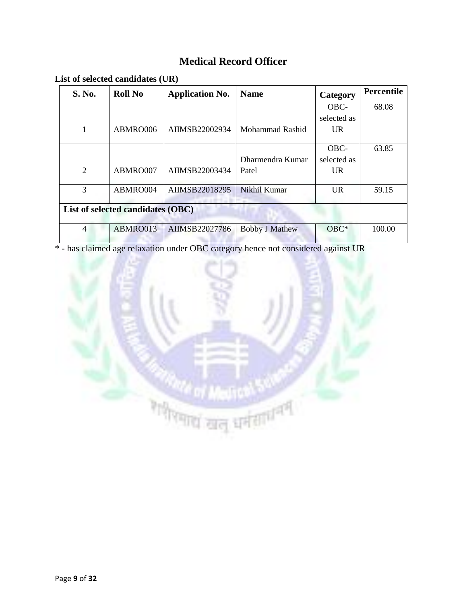### **Medical Record Officer**

| List of selected candidates (UR) |  |  |
|----------------------------------|--|--|
|----------------------------------|--|--|

| S. No.                            | <b>Roll No</b> | <b>Application No.</b> | <b>Name</b>            | Category    | <b>Percentile</b> |  |
|-----------------------------------|----------------|------------------------|------------------------|-------------|-------------------|--|
|                                   |                |                        |                        | OBC-        | 68.08             |  |
|                                   |                |                        |                        | selected as |                   |  |
| 1                                 | ABMRO006       | AIIMSB22002934         | <b>Mohammad Rashid</b> | UR.         |                   |  |
|                                   |                |                        |                        | OBC-        | 63.85             |  |
|                                   |                |                        | Dharmendra Kumar       | selected as |                   |  |
| $\overline{2}$                    | ABMRO007       | AIIMSB22003434         | Patel                  | UR.         |                   |  |
| 3                                 | ABMRO004       | AIIMSB22018295         | Nikhil Kumar           | UR.         | 59.15             |  |
| List of selected candidates (OBC) |                |                        |                        |             |                   |  |
| $\overline{4}$                    | ABMRO013       | AIIMSB22027786         | <b>Bobby J Mathew</b>  | $OBC*$      | 100.00            |  |

\* - has claimed age relaxation under OBC category hence not considered against UR

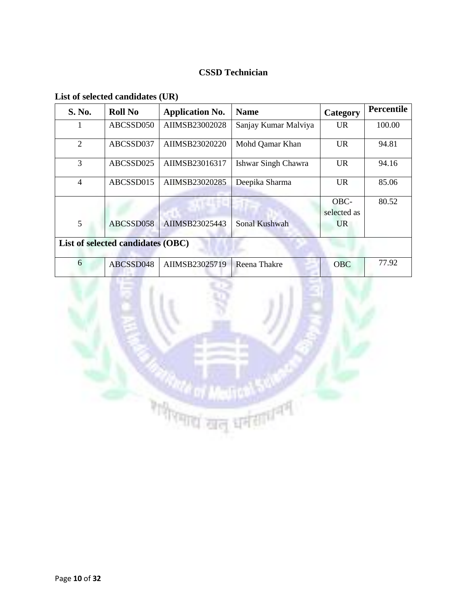#### **CSSD Technician**

| <b>S. No.</b>                     | <b>Roll No</b> | <b>Application No.</b> | <b>Name</b>          | Category    | <b>Percentile</b> |  |  |
|-----------------------------------|----------------|------------------------|----------------------|-------------|-------------------|--|--|
|                                   | ABCSSD050      | AIIMSB23002028         | Sanjay Kumar Malviya | <b>UR</b>   | 100.00            |  |  |
| $\overline{2}$                    | ABCSSD037      | AIIMSB23020220         | Mohd Qamar Khan      | <b>UR</b>   | 94.81             |  |  |
| 3                                 | ABCSSD025      | AIIMSB23016317         | Ishwar Singh Chawra  | <b>UR</b>   | 94.16             |  |  |
| $\overline{4}$                    | ABCSSD015      | AIIMSB23020285         | Deepika Sharma       | UR.         | 85.06             |  |  |
|                                   |                |                        |                      | OBC-        | 80.52             |  |  |
|                                   |                |                        |                      | selected as |                   |  |  |
| 5                                 | ABCSSD058      | AIIMSB23025443         | Sonal Kushwah        | UR.         |                   |  |  |
| List of selected candidates (OBC) |                |                        |                      |             |                   |  |  |
| 6                                 | ABCSSD048      | AIIMSB23025719         | Reena Thakre         | <b>OBC</b>  | 77.92             |  |  |

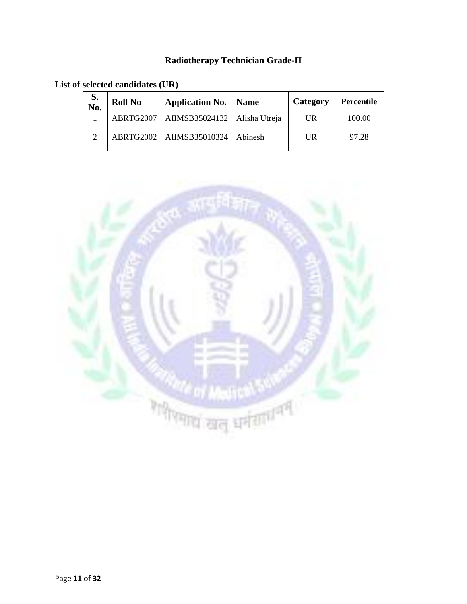#### **Radiotherapy Technician Grade-II**

**List of selected candidates (UR)**

| S.<br>No. | <b>Roll No</b> | <b>Application No.</b>   Name  |         | Category | <b>Percentile</b> |
|-----------|----------------|--------------------------------|---------|----------|-------------------|
|           | ABRTG2007      | AIIMSB35024132   Alisha Utreja |         | UR       | 100.00            |
|           |                | ABRTG2002   AIIMSB35010324     | Abinesh | UR       | 97.28             |

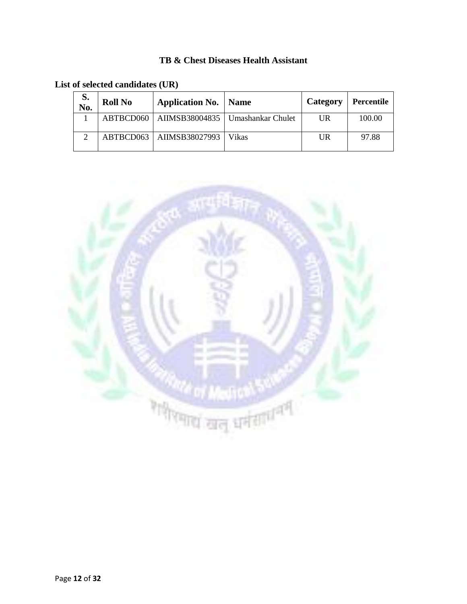#### **TB & Chest Diseases Health Assistant**

**List of selected candidates (UR)**

| S.<br>No.     | <b>Roll No</b> | <b>Application No.</b>   Name |                                                | Category | Percentile |
|---------------|----------------|-------------------------------|------------------------------------------------|----------|------------|
|               |                |                               | ABTBCD060   AIIMSB38004835   Umashankar Chulet | UR       | 100.00     |
| $\mathcal{D}$ |                | ABTBCD063   AIIMSB38027993    | <b>Vikas</b>                                   | UR       | 97.88      |

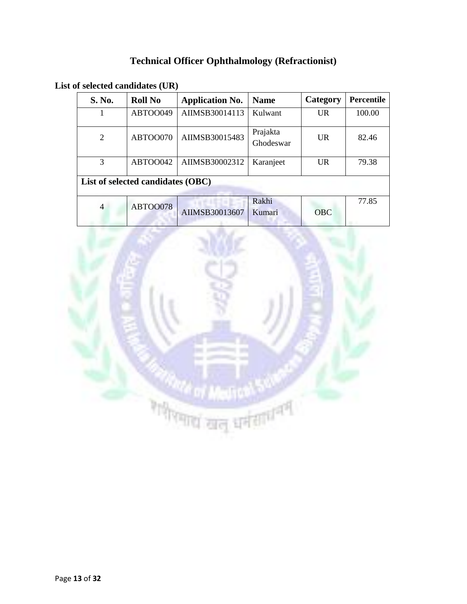# **Technical Officer Ophthalmology (Refractionist)**

**List of selected candidates (UR)**

| S. No.                            | <b>Roll No</b> | <b>Application No.</b> | <b>Name</b>           | Category   | Percentile |  |  |  |
|-----------------------------------|----------------|------------------------|-----------------------|------------|------------|--|--|--|
|                                   | ABTOO049       | AIIMSB30014113         | Kulwant               | <b>UR</b>  | 100.00     |  |  |  |
| $\overline{2}$                    | ABTOO070       | AIIMSB30015483         | Prajakta<br>Ghodeswar | UR         | 82.46      |  |  |  |
| 3                                 | ABTOO042       | AIIMSB30002312         | Karanjeet             | <b>UR</b>  | 79.38      |  |  |  |
| List of selected candidates (OBC) |                |                        |                       |            |            |  |  |  |
| $\overline{4}$                    | ABTOO078       | AIIMSB30013607         | Rakhi<br>Kumari       | <b>OBC</b> | 77.85      |  |  |  |

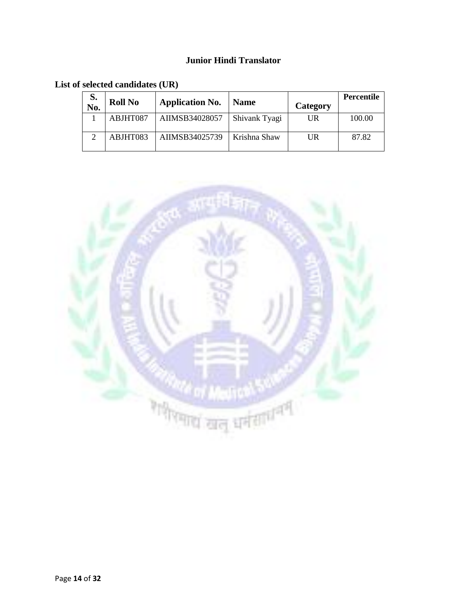#### **Junior Hindi Translator**

| S.<br>No. | <b>Roll No</b> | <b>Application No.</b> | <b>Name</b>   | Category | <b>Percentile</b> |
|-----------|----------------|------------------------|---------------|----------|-------------------|
|           | ABJHT087       | AIIMSB34028057         | Shivank Tyagi | UR       | 100.00            |
|           | ABJHT083       | AIIMSB34025739         | Krishna Shaw  | UR       | 87.82             |

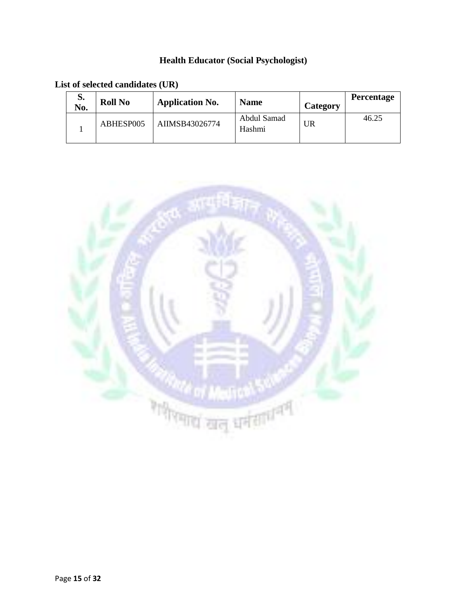### **Health Educator (Social Psychologist)**

**List of selected candidates (UR)**

| S.<br>No. | <b>Roll No</b> | <b>Application No.</b> | <b>Name</b>           | Category | <b>Percentage</b> |
|-----------|----------------|------------------------|-----------------------|----------|-------------------|
|           | ABHESP005      | AIIMSB43026774         | Abdul Samad<br>Hashmi | IJR      | 46.25             |

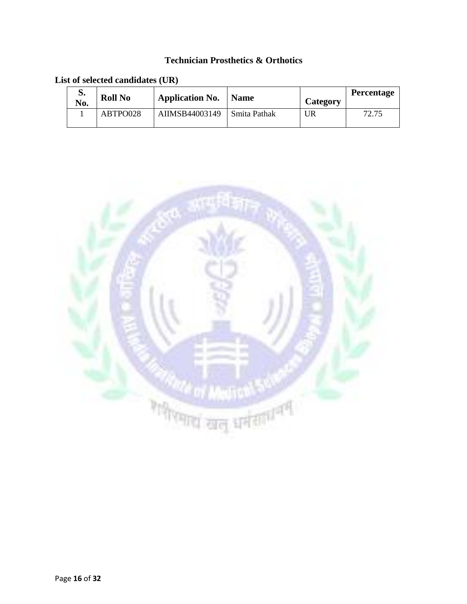#### **Technician Prosthetics & Orthotics**

| d.<br>No. | <b>Roll No</b> | <b>Application No.</b> | <b>Name</b>  | <b>Category</b> | <b>Percentage</b> |
|-----------|----------------|------------------------|--------------|-----------------|-------------------|
|           | ABTPO028       | AIIMSB44003149         | Smita Pathak | <b>UR</b>       | 72.75             |

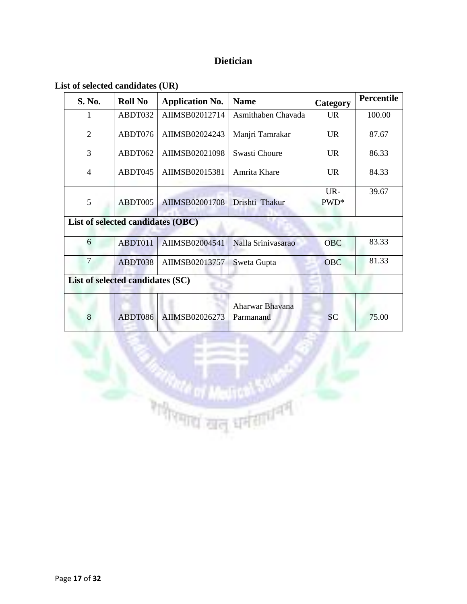#### **Dietician**

#### **List of selected candidates (UR)**

| S. No.                            | <b>Roll No</b>                   | <b>Application No.</b> | <b>Name</b>                  | Category   | <b>Percentile</b> |  |  |  |  |  |
|-----------------------------------|----------------------------------|------------------------|------------------------------|------------|-------------------|--|--|--|--|--|
| 1                                 | ABDT032                          | AIIMSB02012714         | Asmithaben Chavada           | UR.        | 100.00            |  |  |  |  |  |
| $\overline{2}$                    | ABDT076                          | AIIMSB02024243         | Manjri Tamrakar              | <b>UR</b>  | 87.67             |  |  |  |  |  |
| 3                                 | ABDT062                          | AIIMSB02021098         | Swasti Choure                | <b>UR</b>  | 86.33             |  |  |  |  |  |
| $\overline{4}$                    | ABDT045                          | AIIMSB02015381         | Amrita Khare                 | <b>UR</b>  | 84.33             |  |  |  |  |  |
|                                   |                                  |                        |                              | UR-        | 39.67             |  |  |  |  |  |
| 5                                 | ABDT005                          | AIIMSB02001708         | Drishti Thakur               | PWD*       |                   |  |  |  |  |  |
| List of selected candidates (OBC) |                                  |                        |                              |            |                   |  |  |  |  |  |
| 6                                 | ABDT011                          | AIIMSB02004541         | Nalla Srinivasarao           | <b>OBC</b> | 83.33             |  |  |  |  |  |
| $\overline{7}$                    | ABDT038                          | AIIMSB02013757         | Sweta Gupta                  | <b>OBC</b> | 81.33             |  |  |  |  |  |
|                                   | List of selected candidates (SC) |                        |                              |            |                   |  |  |  |  |  |
| 8                                 | ABDT086                          | AIIMSB02026273         | Aharwar Bhavana<br>Parmanand | <b>SC</b>  | 75.00             |  |  |  |  |  |

Property pure present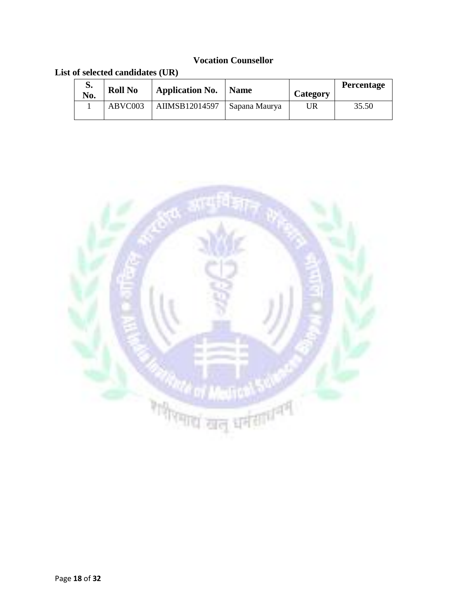#### **Vocation Counsellor**

| d.<br>No. | <b>Roll No</b> | <b>Application No.</b>         | Name | Category | <b>Percentage</b> |
|-----------|----------------|--------------------------------|------|----------|-------------------|
|           | ABVC003        | AIIMSB12014597   Sapana Maurya |      | UR       | 35.50             |

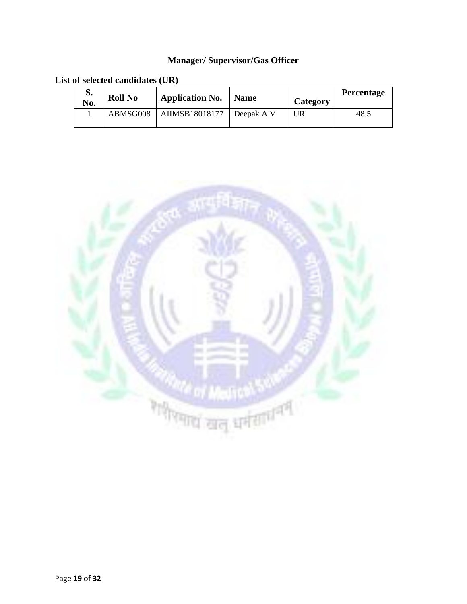#### **Manager/ Supervisor/Gas Officer**

| d.<br>No. | <b>Roll No</b> | <b>Application No.</b> | Name       | Category | <b>Percentage</b> |
|-----------|----------------|------------------------|------------|----------|-------------------|
|           | ABMSG008       | AIIMSB18018177         | Deepak A V | UR       | 48.5              |

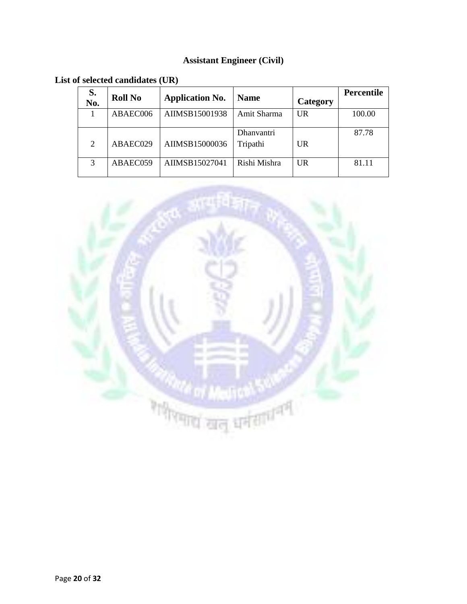#### **Assistant Engineer (Civil)**

**List of selected candidates (UR)**

| S.<br>No.      | <b>Roll No</b> | <b>Application No.</b> | <b>Name</b>                   | Category | <b>Percentile</b> |
|----------------|----------------|------------------------|-------------------------------|----------|-------------------|
|                | ABAEC006       | AIIMSB15001938         | Amit Sharma                   | UR       | 100.00            |
| $\overline{2}$ | ABAEC029       | AIIMSB15000036         | <b>Dhanyantri</b><br>Tripathi | UR       | 87.78             |
| 3              | ABAEC059       | AIIMSB15027041         | Rishi Mishra                  | UR       | 81.11             |

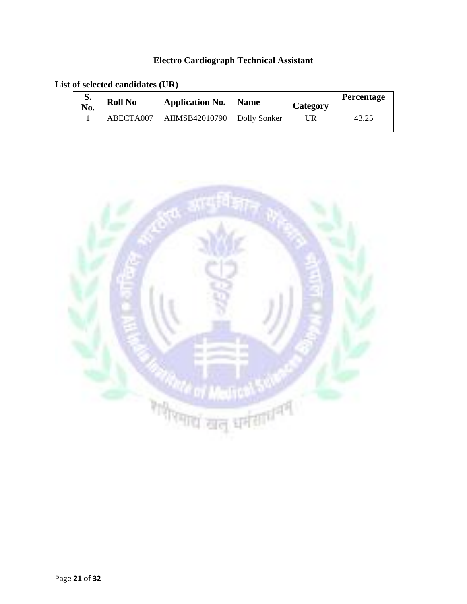#### **Electro Cardiograph Technical Assistant**

| d.<br>No. | <b>Roll No</b> | <b>Application No.</b>        | <b>Name</b> | Category | <b>Percentage</b> |
|-----------|----------------|-------------------------------|-------------|----------|-------------------|
|           | ABECTA007      | AIIMSB42010790   Dolly Sonker |             | JR       | 43.25             |

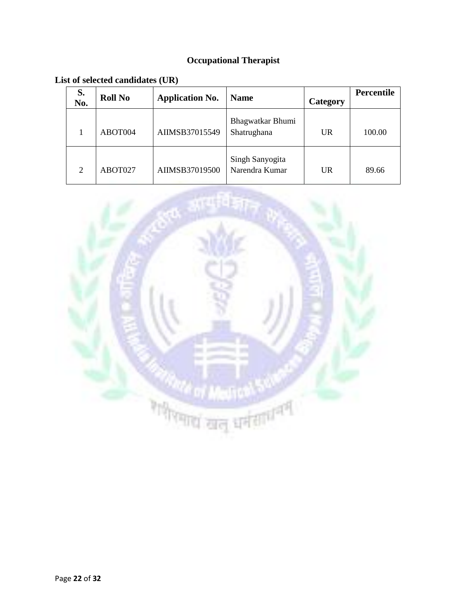# **Occupational Therapist**

**List of selected candidates (UR)**

| S.<br>No. | <b>Roll No</b> | <b>Application No.</b> | <b>Name</b>                       | <b>Category</b> | <b>Percentile</b> |
|-----------|----------------|------------------------|-----------------------------------|-----------------|-------------------|
|           | ABOT004        | AIIMSB37015549         | Bhagwatkar Bhumi<br>Shatrughana   | <b>UR</b>       | 100.00            |
| 2         | ABOT027        | AIIMSB37019500         | Singh Sanyogita<br>Narendra Kumar | <b>UR</b>       | 89.66             |

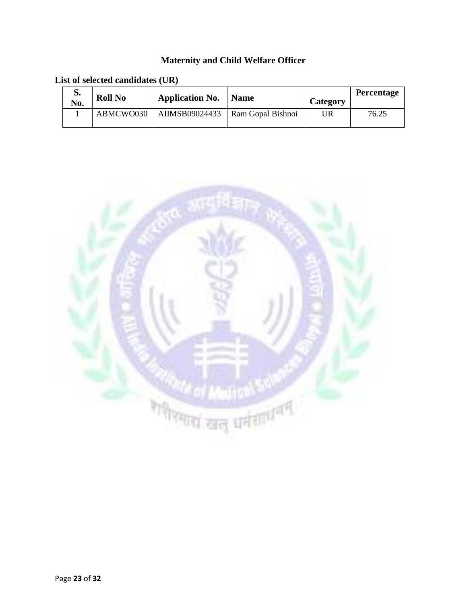# **Maternity and Child Welfare Officer**

|  | List of selected candidates (UR) |  |  |
|--|----------------------------------|--|--|
|--|----------------------------------|--|--|

| S.<br>No. | <b>Roll No</b> | <b>Application No.</b> | <b>Name</b>       | Category | <b>Percentage</b> |
|-----------|----------------|------------------------|-------------------|----------|-------------------|
|           | ABMCWO030      | AIIMSB09024433         | Ram Gopal Bishnoi | UR       | 76.25             |

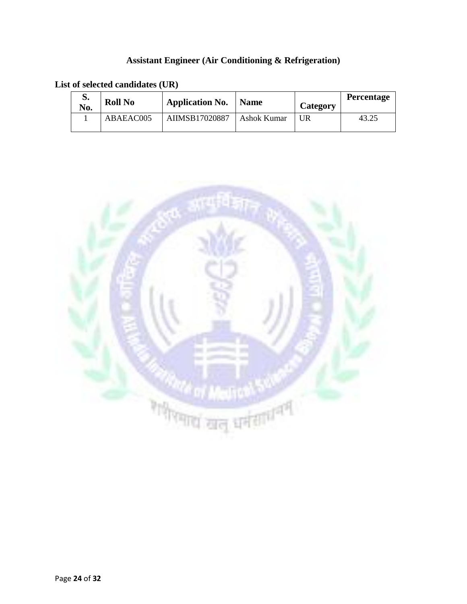#### **Assistant Engineer (Air Conditioning & Refrigeration)**

| d.<br>No. | <b>Roll No</b> | <b>Application No.</b> | <b>Name</b> | Category | <b>Percentage</b> |
|-----------|----------------|------------------------|-------------|----------|-------------------|
|           | ABAEAC005      | AIIMSB17020887         | Ashok Kumar | UR       | 43.25             |

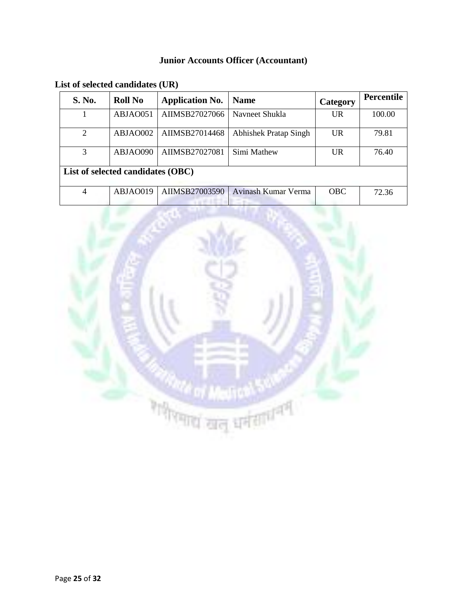#### **Junior Accounts Officer (Accountant)**

| S. No.                            | <b>Roll No</b> | <b>Application No.</b> | <b>Name</b>                  | Category   | <b>Percentile</b> |  |  |
|-----------------------------------|----------------|------------------------|------------------------------|------------|-------------------|--|--|
|                                   | ABJAO051       | AIIMSB27027066         | Navneet Shukla               | <b>UR</b>  | 100.00            |  |  |
| 2                                 | ABJAO002       | AIIMSB27014468         | <b>Abhishek Pratap Singh</b> | UR         | 79.81             |  |  |
| 3                                 | ABJAO090       | AIIMSB27027081         | Simi Mathew                  | <b>UR</b>  | 76.40             |  |  |
| List of selected candidates (OBC) |                |                        |                              |            |                   |  |  |
| $\overline{4}$                    | ABJAO019       | AIIMSB27003590         | Avinash Kumar Verma          | <b>OBC</b> | 72.36             |  |  |

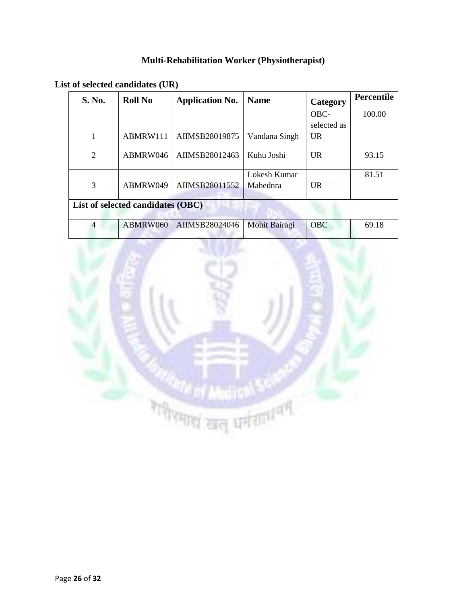### **Multi-Rehabilitation Worker (Physiotherapist)**

| S. No.                            | <b>Roll No</b> | <b>Application No.</b> | <b>Name</b>   | Category    | Percentile |  |  |
|-----------------------------------|----------------|------------------------|---------------|-------------|------------|--|--|
|                                   |                |                        |               | OBC-        | 100.00     |  |  |
|                                   |                |                        |               | selected as |            |  |  |
| 1                                 | ABMRW111       | AIIMSB28019875         | Vandana Singh | <b>UR</b>   |            |  |  |
| 2                                 | ABMRW046       | AIIMSB28012463         | Kuhu Joshi    | <b>UR</b>   | 93.15      |  |  |
|                                   |                |                        | Lokesh Kumar  |             | 81.51      |  |  |
| 3                                 | ABMRW049       | AIIMSB28011552         | Mahednra      | UR          |            |  |  |
| List of selected candidates (OBC) |                |                        |               |             |            |  |  |
| $\overline{4}$                    | ABMRW060       | AIIMSB28024046         | Mohit Bairagi | <b>OBC</b>  | 69.18      |  |  |

**List of selected candidates (UR)**

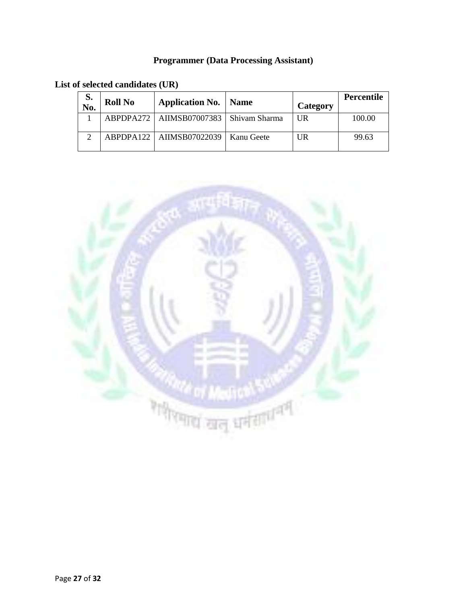#### **Programmer (Data Processing Assistant)**

**List of selected candidates (UR)**

| S.<br>No. | <b>Roll No</b> | <b>Application No.   Name</b>              |            | Category | Percentile |
|-----------|----------------|--------------------------------------------|------------|----------|------------|
|           |                | ABPDPA272   AIIMSB07007383   Shivam Sharma |            | UR       | 100.00     |
|           |                | ABPDPA122   AIIMSB07022039                 | Kanu Geete | UR       | 99.63      |

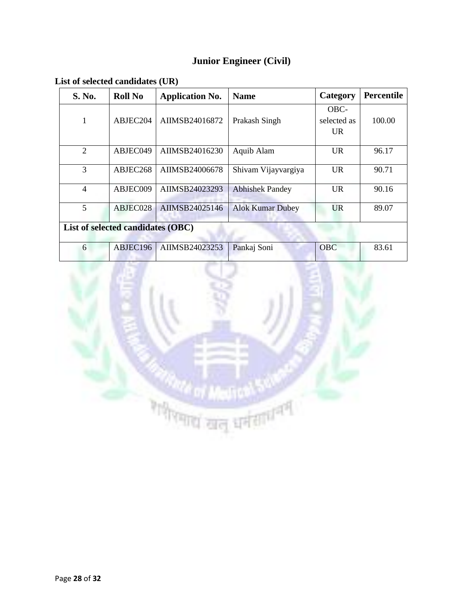# **Junior Engineer (Civil)**

**List of selected candidates (UR)**

| S. No.                            | <b>Roll No</b> | <b>Application No.</b> | <b>Name</b>             | Category    | <b>Percentile</b> |  |  |
|-----------------------------------|----------------|------------------------|-------------------------|-------------|-------------------|--|--|
|                                   |                |                        |                         | OBC-        |                   |  |  |
| 1                                 | ABJEC204       | AIIMSB24016872         | Prakash Singh           | selected as | 100.00            |  |  |
|                                   |                |                        |                         | UR.         |                   |  |  |
| 2                                 | ABJEC049       | AIIMSB24016230         | Aquib Alam              | UR.         | 96.17             |  |  |
| 3                                 | ABJEC268       | AIIMSB24006678         | Shivam Vijayvargiya     | <b>UR</b>   | 90.71             |  |  |
| $\overline{4}$                    | ABJEC009       | AIIMSB24023293         | <b>Abhishek Pandey</b>  | UR.         | 90.16             |  |  |
| 5                                 | ABJEC028       | AIIMSB24025146         | <b>Alok Kumar Dubey</b> | <b>UR</b>   | 89.07             |  |  |
| List of selected candidates (OBC) |                |                        |                         |             |                   |  |  |
| 6                                 | ABJEC196       | AIIMSB24023253         | Pankaj Soni             | <b>OBC</b>  | 83.61             |  |  |

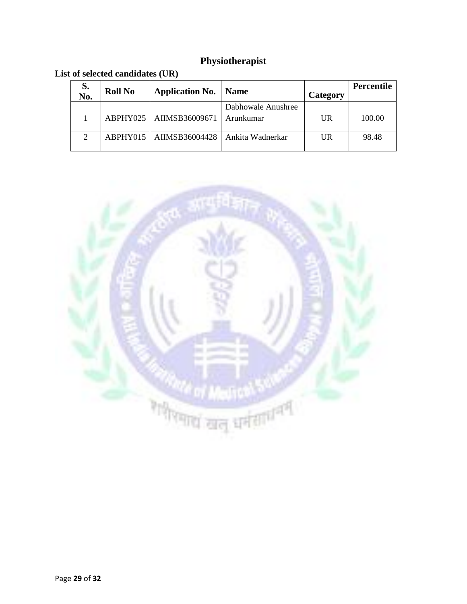# **Physiotherapist**

| S.<br>No.                   | <b>Roll No</b> | <b>Application No.</b>    | Name                            | Category | <b>Percentile</b> |
|-----------------------------|----------------|---------------------------|---------------------------------|----------|-------------------|
|                             |                | ABPHY025   AIIMSB36009671 | Dabhowale Anushree<br>Arunkumar | UR       | 100.00            |
| $\mathcal{D}_{\mathcal{L}}$ |                | ABPHY015   AIIMSB36004428 | Ankita Wadnerkar                | UR       | 98.48             |

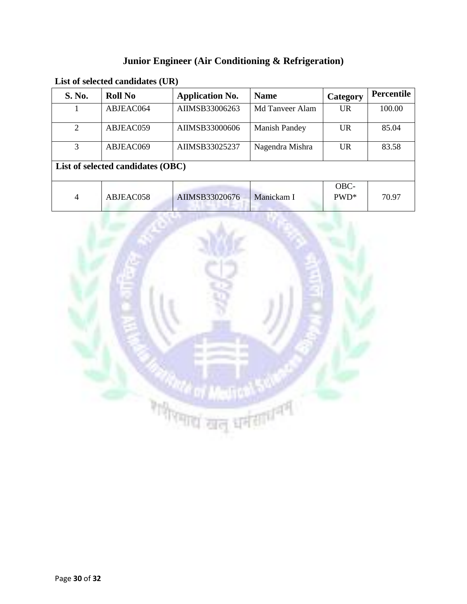# **Junior Engineer (Air Conditioning & Refrigeration)**

| List of selected candidates (UR) |
|----------------------------------|
|----------------------------------|

| <b>S. No.</b>                     | <b>Roll No</b> | <b>Application No.</b> | <b>Name</b>          | Category        | <b>Percentile</b> |  |  |
|-----------------------------------|----------------|------------------------|----------------------|-----------------|-------------------|--|--|
|                                   | ABJEAC064      | AIIMSB33006263         | Md Tanveer Alam      | <b>UR</b>       | 100.00            |  |  |
| 2                                 | ABJEAC059      | AIIMSB33000606         | <b>Manish Pandey</b> | <b>UR</b>       | 85.04             |  |  |
| 3                                 | ABJEAC069      | AIIMSB33025237         | Nagendra Mishra      | <b>UR</b>       | 83.58             |  |  |
| List of selected candidates (OBC) |                |                        |                      |                 |                   |  |  |
| 4                                 | ABJEAC058      | AIIMSB33020676         | Manickam I           | OBC-<br>$PWD^*$ | 70.97             |  |  |

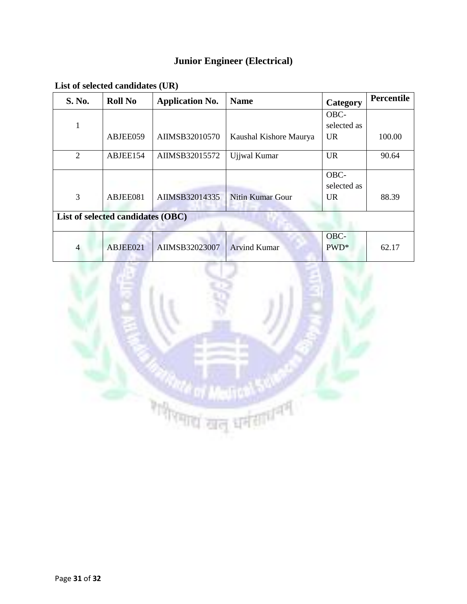# **Junior Engineer (Electrical)**

| S. No.                            | <b>Roll No</b> | <b>Application No.</b> | <b>Name</b>             | Category    | Percentile |  |  |
|-----------------------------------|----------------|------------------------|-------------------------|-------------|------------|--|--|
|                                   |                |                        |                         | OBC-        |            |  |  |
| л.                                |                |                        |                         | selected as |            |  |  |
|                                   | ABJEE059       | AIIMSB32010570         | Kaushal Kishore Maurya  | UR.         | 100.00     |  |  |
| $\overline{2}$                    | ABJEE154       | AIIMSB32015572         | Ujjwal Kumar            | <b>UR</b>   | 90.64      |  |  |
|                                   |                |                        |                         | OBC-        |            |  |  |
|                                   |                |                        |                         | selected as |            |  |  |
| 3                                 | ABJEE081       | AIIMSB32014335         | <b>Nitin Kumar Gour</b> | <b>UR</b>   | 88.39      |  |  |
| List of selected candidates (OBC) |                |                        |                         |             |            |  |  |
|                                   |                |                        |                         | OBC-        |            |  |  |
| $\overline{4}$                    | ABJEE021       | AIIMSB32023007         | <b>Arvind Kumar</b>     | $PWD^*$     | 62.17      |  |  |

**List of selected candidates (UR)**